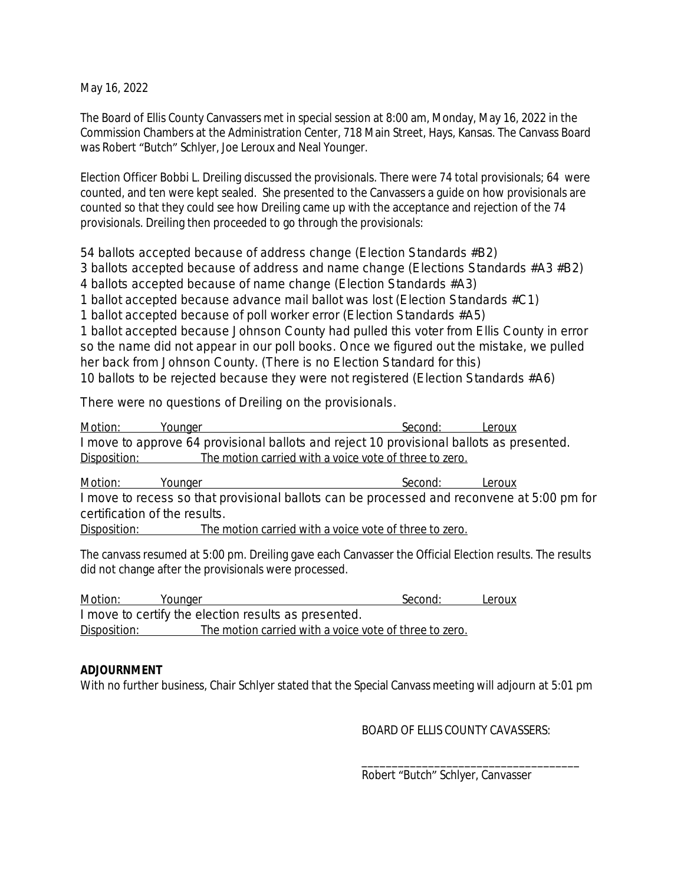May 16, 2022

The Board of Ellis County Canvassers met in special session at 8:00 am, Monday, May 16, 2022 in the Commission Chambers at the Administration Center, 718 Main Street, Hays, Kansas. The Canvass Board was Robert "Butch" Schlyer, Joe Leroux and Neal Younger.

Election Officer Bobbi L. Dreiling discussed the provisionals. There were 74 total provisionals; 64 were counted, and ten were kept sealed. She presented to the Canvassers a guide on how provisionals are counted so that they could see how Dreiling came up with the acceptance and rejection of the 74 provisionals. Dreiling then proceeded to go through the provisionals:

54 ballots accepted because of address change (Election Standards #B2)

3 ballots accepted because of address and name change (Elections Standards #A3 #B2)

4 ballots accepted because of name change (Election Standards #A3)

1 ballot accepted because advance mail ballot was lost (Election Standards #C1)

1 ballot accepted because of poll worker error (Election Standards #A5)

1 ballot accepted because Johnson County had pulled this voter from Ellis County in error so the name did not appear in our poll books. Once we figured out the mistake, we pulled her back from Johnson County. (There is no Election Standard for this) 10 ballots to be rejected because they were not registered (Election Standards #A6)

There were no questions of Dreiling on the provisionals.

<u>Motion: Younger Second: Leroux Second:</u> I move to approve 64 provisional ballots and reject 10 provisional ballots as presented. Disposition: The motion carried with a voice vote of three to zero.

Motion: Younger Second: Leroux I move to recess so that provisional ballots can be processed and reconvene at 5:00 pm for certification of the results.

Disposition: The motion carried with a voice vote of three to zero.

The canvass resumed at 5:00 pm. Dreiling gave each Canvasser the Official Election results. The results did not change after the provisionals were processed.

Motion: Younger Second: Leroux I move to certify the election results as presented. Disposition: The motion carried with a voice vote of three to zero.

## **ADJOURNMENT**

With no further business, Chair Schlyer stated that the Special Canvass meeting will adjourn at 5:01 pm

BOARD OF ELLIS COUNTY CAVASSERS:

\_\_\_\_\_\_\_\_\_\_\_\_\_\_\_\_\_\_\_\_\_\_\_\_\_\_\_\_\_\_\_\_\_\_\_\_ Robert "Butch" Schlyer, Canvasser